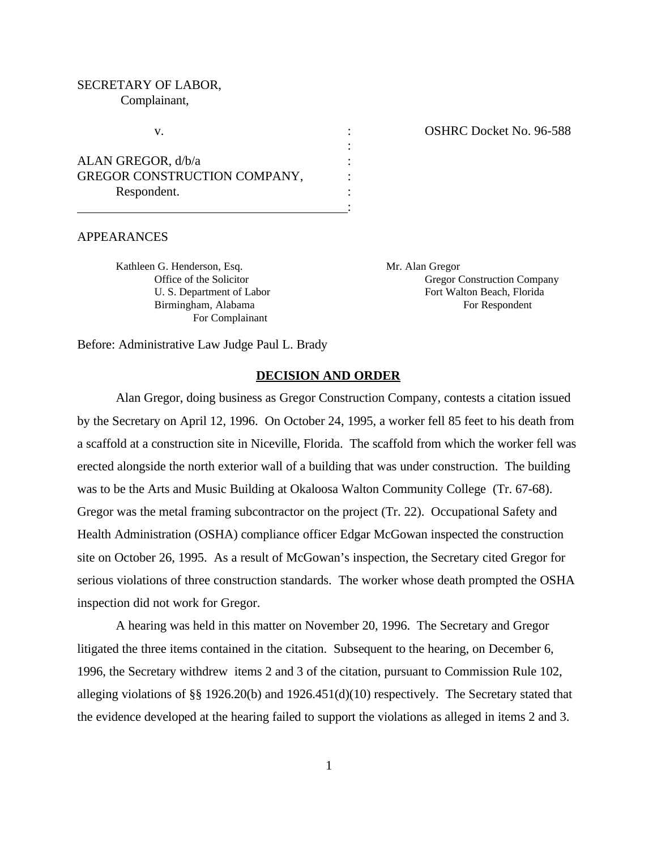# SECRETARY OF LABOR, Complainant,

ALAN GREGOR, d/b/a : GREGOR CONSTRUCTION COMPANY,  $\cdot$ Respondent.

v.  $\overline{\text{OSHRC}$  Docket No. 96-588

#### APPEARANCES

Kathleen G. Henderson, Esq. Mr. Alan Gregor For Complainant

Office of the Solicitor Company Gregor Construction Company U. S. Department of Labor Fort Walton Beach, Florida Birmingham, Alabama For Respondent

Before: Administrative Law Judge Paul L. Brady

## **DECISION AND ORDER**

:

:

Alan Gregor, doing business as Gregor Construction Company, contests a citation issued by the Secretary on April 12, 1996. On October 24, 1995, a worker fell 85 feet to his death from a scaffold at a construction site in Niceville, Florida. The scaffold from which the worker fell was erected alongside the north exterior wall of a building that was under construction. The building was to be the Arts and Music Building at Okaloosa Walton Community College (Tr. 67-68). Gregor was the metal framing subcontractor on the project (Tr. 22). Occupational Safety and Health Administration (OSHA) compliance officer Edgar McGowan inspected the construction site on October 26, 1995. As a result of McGowan's inspection, the Secretary cited Gregor for serious violations of three construction standards. The worker whose death prompted the OSHA inspection did not work for Gregor.

A hearing was held in this matter on November 20, 1996. The Secretary and Gregor litigated the three items contained in the citation. Subsequent to the hearing, on December 6, 1996, the Secretary withdrew items 2 and 3 of the citation, pursuant to Commission Rule 102, alleging violations of §§ 1926.20(b) and 1926.451(d)(10) respectively. The Secretary stated that the evidence developed at the hearing failed to support the violations as alleged in items 2 and 3.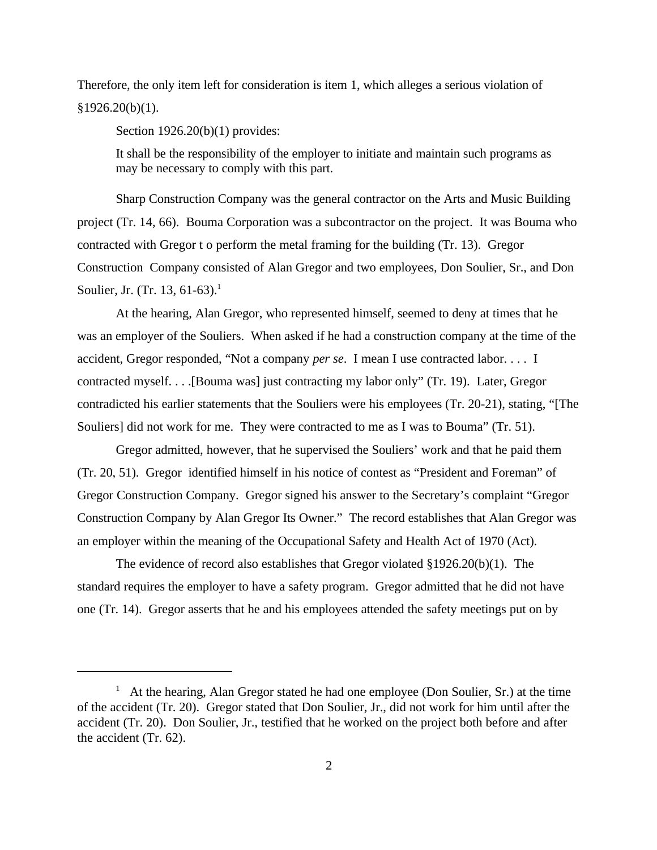Therefore, the only item left for consideration is item 1, which alleges a serious violation of  $§1926.20(b)(1).$ 

Section 1926.20(b)(1) provides:

It shall be the responsibility of the employer to initiate and maintain such programs as may be necessary to comply with this part.

Sharp Construction Company was the general contractor on the Arts and Music Building project (Tr. 14, 66). Bouma Corporation was a subcontractor on the project. It was Bouma who contracted with Gregor t o perform the metal framing for the building (Tr. 13). Gregor Construction Company consisted of Alan Gregor and two employees, Don Soulier, Sr., and Don Soulier, Jr. (Tr. 13, 61-63).<sup>1</sup>

At the hearing, Alan Gregor, who represented himself, seemed to deny at times that he was an employer of the Souliers. When asked if he had a construction company at the time of the accident, Gregor responded, "Not a company *per se*. I mean I use contracted labor. . . . I contracted myself. . . .[Bouma was] just contracting my labor only" (Tr. 19). Later, Gregor contradicted his earlier statements that the Souliers were his employees (Tr. 20-21), stating, "[The Souliers] did not work for me. They were contracted to me as I was to Bouma" (Tr. 51).

Gregor admitted, however, that he supervised the Souliers' work and that he paid them (Tr. 20, 51). Gregor identified himself in his notice of contest as "President and Foreman" of Gregor Construction Company. Gregor signed his answer to the Secretary's complaint "Gregor Construction Company by Alan Gregor Its Owner." The record establishes that Alan Gregor was an employer within the meaning of the Occupational Safety and Health Act of 1970 (Act).

The evidence of record also establishes that Gregor violated §1926.20(b)(1). The standard requires the employer to have a safety program. Gregor admitted that he did not have one (Tr. 14). Gregor asserts that he and his employees attended the safety meetings put on by

<sup>1</sup> At the hearing, Alan Gregor stated he had one employee (Don Soulier, Sr.) at the time of the accident (Tr. 20). Gregor stated that Don Soulier, Jr., did not work for him until after the accident (Tr. 20). Don Soulier, Jr., testified that he worked on the project both before and after the accident (Tr. 62).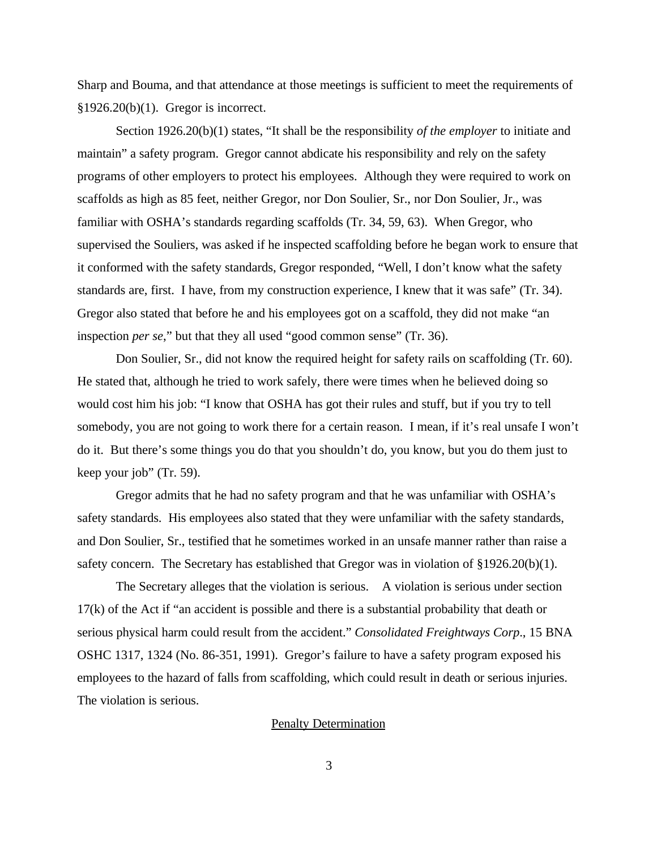Sharp and Bouma, and that attendance at those meetings is sufficient to meet the requirements of §1926.20(b)(1). Gregor is incorrect.

Section 1926.20(b)(1) states, "It shall be the responsibility *of the employer* to initiate and maintain" a safety program. Gregor cannot abdicate his responsibility and rely on the safety programs of other employers to protect his employees. Although they were required to work on scaffolds as high as 85 feet, neither Gregor, nor Don Soulier, Sr., nor Don Soulier, Jr., was familiar with OSHA's standards regarding scaffolds (Tr. 34, 59, 63). When Gregor, who supervised the Souliers, was asked if he inspected scaffolding before he began work to ensure that it conformed with the safety standards, Gregor responded, "Well, I don't know what the safety standards are, first. I have, from my construction experience, I knew that it was safe" (Tr. 34). Gregor also stated that before he and his employees got on a scaffold, they did not make "an inspection *per se*," but that they all used "good common sense" (Tr. 36).

Don Soulier, Sr., did not know the required height for safety rails on scaffolding (Tr. 60). He stated that, although he tried to work safely, there were times when he believed doing so would cost him his job: "I know that OSHA has got their rules and stuff, but if you try to tell somebody, you are not going to work there for a certain reason. I mean, if it's real unsafe I won't do it. But there's some things you do that you shouldn't do, you know, but you do them just to keep your job" (Tr. 59).

Gregor admits that he had no safety program and that he was unfamiliar with OSHA's safety standards. His employees also stated that they were unfamiliar with the safety standards, and Don Soulier, Sr., testified that he sometimes worked in an unsafe manner rather than raise a safety concern. The Secretary has established that Gregor was in violation of  $\S 1926.20(b)(1)$ .

The Secretary alleges that the violation is serious. A violation is serious under section 17(k) of the Act if "an accident is possible and there is a substantial probability that death or serious physical harm could result from the accident." *Consolidated Freightways Corp*., 15 BNA OSHC 1317, 1324 (No. 86-351, 1991). Gregor's failure to have a safety program exposed his employees to the hazard of falls from scaffolding, which could result in death or serious injuries. The violation is serious.

### Penalty Determination